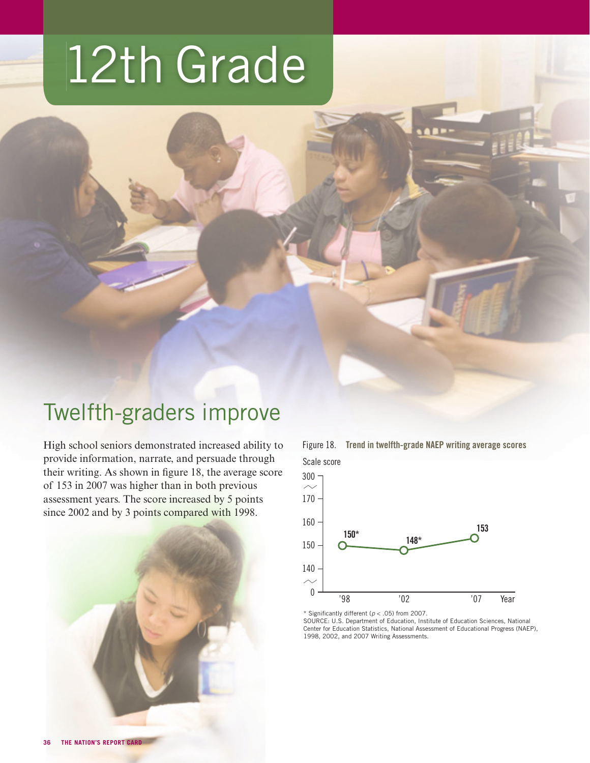# 12th Grade



High school seniors demonstrated increased ability to provide information, narrate, and persuade through their writing. As shown in figure 18, the average score of 153 in 2007 was higher than in both previous assessment years. The score increased by 5 points since 2002 and by 3 points compared with 1998.





\* Significantly different ( $p < .05$ ) from 2007.

SOURCE: U.S. Department of Education, Institute of Education Sciences, National Center for Education Statistics, National Assessment of Educational Progress (NAEP), 1998, 2002, and 2007 Writing Assessments.

Figure 18. Trend in twelfth-grade NAEP writing average scores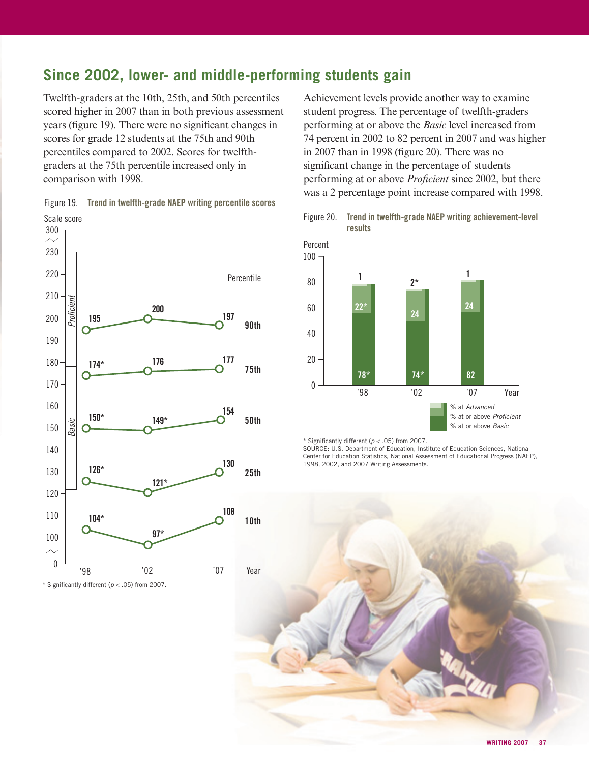# **Since 2002, lower- and middle-performing students gain**

Twelfth-graders at the 10th, 25th, and 50th percentiles scored higher in 2007 than in both previous assessment years (figure 19). There were no significant changes in scores for grade 12 students at the 75th and 90th percentiles compared to 2002. Scores for twelfthgraders at the 75th percentile increased only in comparison with 1998.



\* Significantly different ( $p < .05$ ) from 2007.

Scale score Figure 19. Trend in twelfth-grade NAEP writing percentile scores Achievement levels provide another way to examine student progress. The percentage of twelfth-graders performing at or above the *Basic* level increased from 74 percent in 2002 to 82 percent in 2007 and was higher in 2007 than in 1998 (figure 20). There was no significant change in the percentage of students performing at or above *Proficient* since 2002, but there was a 2 percentage point increase compared with 1998.





\* Significantly different ( $p < .05$ ) from 2007.

SOURCE: U.S. Department of Education, Institute of Education Sciences, National Center for Education Statistics, National Assessment of Educational Progress (NAEP), 1998, 2002, and 2007 Writing Assessments.

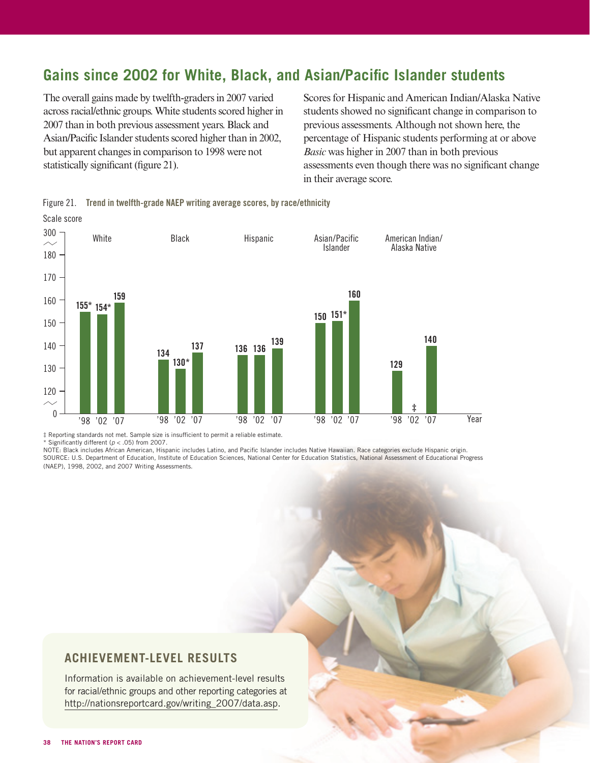## Gains since 2002 for White, Black, and Asian/Pacific Islander students

The overall gains made by twelfth-graders in 2007 varied across racial/ethnic groups. White students scored higher in 2007 than in both previous assessment years. Black and Asian/Pacific Islander students scored higher than in 2002, but apparent changes in comparison to 1998 were not statistically significant (figure 21).

Scores for Hispanic and American Indian/Alaska Native students showed no significant change in comparison to previous assessments. Although not shown here, the percentage of Hispanic students performing at or above *Basic* was higher in 2007 than in both previous assessments even though there was no significant change in their average score.



Figure 21. Trend in twelfth-grade NAEP writing average scores, by race/ethnicity Scale score

 $\ddagger$  Reporting standards not met. Sample size is insufficient to permit a reliable estimate.

 $*$  Significantly different ( $p < .05$ ) from 2007.

NOTE: Black includes African American, Hispanic includes Latino, and Pacific Islander includes Native Hawaiian. Race categories exclude Hispanic origin. SOURCE: U.S. Department of Education, Institute of Education Sciences, National Center for Education Statistics, National Assessment of Educational Progress (NAEP), 1998, 2002, and 2007 Writing Assessments.

### **ACHIEVEMENT-LEVEL RESULTS**

Information is available on achievement-level results for racial/ethnic groups and other reporting categories at http://nationsreportcard.gov/writing\_2007/data.asp.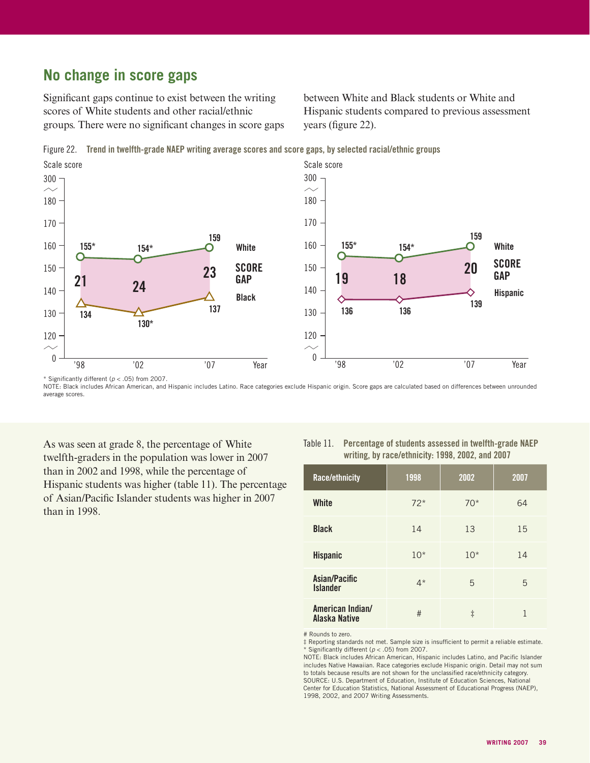## **No change in score gaps**

\* Significantly different ( $p < .05$ ) from 2007.

Significant gaps continue to exist between the writing scores of White students and other racial/ethnic groups. There were no significant changes in score gaps between White and Black students or White and Hispanic students compared to previous assessment years (figure 22).

Figure 22. Trend in twelfth-grade NAEP writing average scores and score gaps, by selected racial/ethnic groups



NOTE: Black includes African American, and Hispanic includes Latino. Race categories exclude Hispanic origin. Score gaps are calculated based on differences between unrounded average scores.

As was seen at grade 8, the percentage of White twelfth-graders in the population was lower in 2007 than in 2002 and 1998, while the percentage of Hispanic students was higher (table 11). The percentage of Asian/Pacific Islander students was higher in 2007 than in 1998.

#### Table 11. Percentage of students assessed in twelfth-grade NAEP writing, by race/ethnicity: 1998, 2002, and 2007

| Race/ethnicity                    | 1998  | 2002       | 2007 |
|-----------------------------------|-------|------------|------|
| White                             | $72*$ | $70*$      | 64   |
| <b>Black</b>                      | 14    | 13         | 15   |
| <b>Hispanic</b>                   | $10*$ | $10*$      | 14   |
| Asian/Pacific<br><b>Islander</b>  | $4*$  | 5          | 5    |
| American Indian/<br>Alaska Native | #     | $\ddagger$ | 1    |

# Rounds to zero.

 $\ddagger$  Reporting standards not met. Sample size is insufficient to permit a reliable estimate.  $*$  Significantly different ( $p < .05$ ) from 2007.

NOTE: Black includes African American, Hispanic includes Latino, and Pacific Islander includes Native Hawaiian. Race categories exclude Hispanic origin. Detail may not sum to totals because results are not shown for the unclassified race/ethnicity category. SOURCE: U.S. Department of Education, Institute of Education Sciences, National Center for Education Statistics, National Assessment of Educational Progress (NAEP), 1998, 2002, and 2007 Writing Assessments.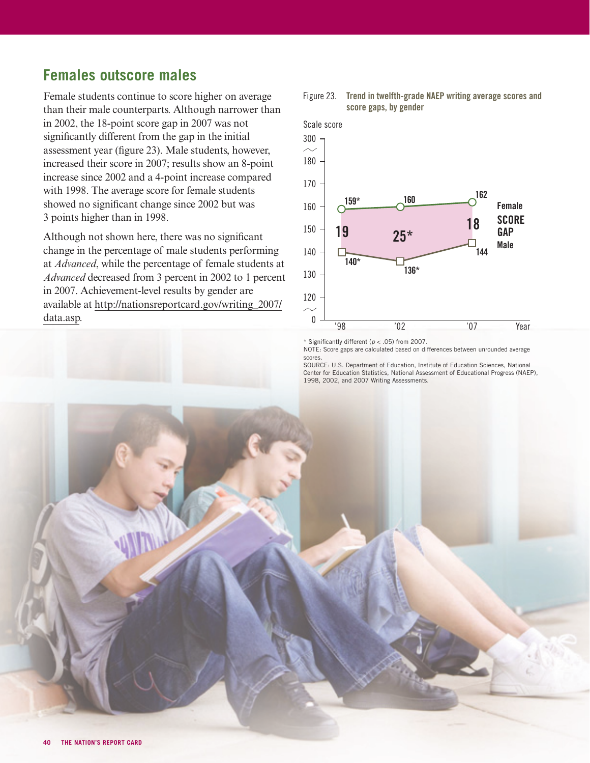## **Females outscore males**

Female students continue to score higher on average than their male counterparts. Although narrower than in 2002, the 18-point score gap in 2007 was not significantly different from the gap in the initial assessment year (figure 23). Male students, however, increased their score in 2007; results show an 8-point increase since 2002 and a 4-point increase compared with 1998. The average score for female students showed no significant change since 2002 but was 3 points higher than in 1998.

Although not shown here, there was no significant change in the percentage of male students performing at *Advanced*, while the percentage of female students at *Advanced* decreased from 3 percent in 2002 to 1 percent in 2007. Achievement-level results by gender are [available at http://nationsreportcard.gov/writing\\_2007/](http://nationsreportcard.gov/writing_2007/data.asp) data.asp.



#### Figure 23. Trend in twelfth-grade NAEP writing average scores and score gaps, by gender

\* Significantly different ( $p < .05$ ) from 2007.

NOTE: Score gaps are calculated based on differences between unrounded average scores

SOURCE: U.S. Department of Education, Institute of Education Sciences, National Center for Education Statistics, National Assessment of Educational Progress (NAEP), 1998, 2002, and 2007 Writing Assessments.